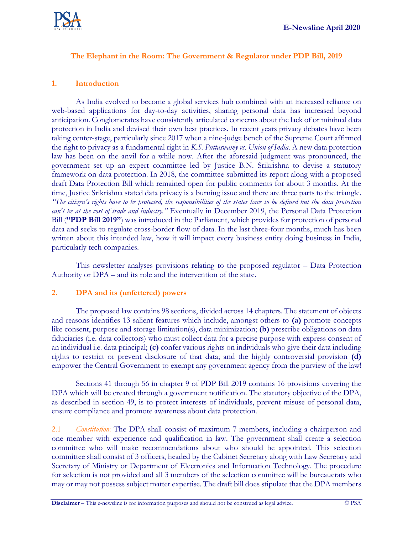

# **The Elephant in the Room: The Government & Regulator under PDP Bill, 2019**

# **1. Introduction**

As India evolved to become a global services hub combined with an increased reliance on web-based applications for day-to-day activities, sharing personal data has increased beyond anticipation. Conglomerates have consistently articulated concerns about the lack of or minimal data protection in India and devised their own best practices. In recent years privacy debates have been taking center-stage, particularly since 2017 when a nine-judge bench of the Supreme Court affirmed the right to privacy as a fundamental right in *K.S. Puttaswamy vs. Union of India*. A new data protection law has been on the anvil for a while now. After the aforesaid judgment was pronounced, the government set up an expert committee led by Justice B.N. Srikrishna to devise a statutory framework on data protection. In 2018, the committee submitted its report along with a proposed draft Data Protection Bill which remained open for public comments for about 3 months. At the time, Justice Srikrishna stated data privacy is a burning issue and there are three parts to the triangle. *"The citizen's rights have to be protected, the responsibilities of the states have to be defined but the data protection can't be at the cost of trade and industry."* Eventually in December 2019, the Personal Data Protection Bill (**"PDP Bill 2019"**) was introduced in the Parliament, which provides for protection of personal data and seeks to regulate cross-border flow of data. In the last three-four months, much has been written about this intended law, how it will impact every business entity doing business in India, particularly tech companies.

This newsletter analyses provisions relating to the proposed regulator – Data Protection Authority or DPA – and its role and the intervention of the state.

### **2. DPA and its (unfettered) powers**

The proposed law contains 98 sections, divided across 14 chapters. The statement of objects and reasons identifies 13 salient features which include, amongst others to **(a)** promote concepts like consent, purpose and storage limitation(s), data minimization; **(b)** prescribe obligations on data fiduciaries (i.e. data collectors) who must collect data for a precise purpose with express consent of an individual i.e. data principal; **(c)** confer various rights on individuals who give their data including rights to restrict or prevent disclosure of that data; and the highly controversial provision **(d)**  empower the Central Government to exempt any government agency from the purview of the law!

Sections 41 through 56 in chapter 9 of PDP Bill 2019 contains 16 provisions covering the DPA which will be created through a government notification. The statutory objective of the DPA, as described in section 49, is to protect interests of individuals, prevent misuse of personal data, ensure compliance and promote awareness about data protection.

2.1 *Constitution*: The DPA shall consist of maximum 7 members, including a chairperson and one member with experience and qualification in law. The government shall create a selection committee who will make recommendations about who should be appointed. This selection committee shall consist of 3 officers, headed by the Cabinet Secretary along with Law Secretary and Secretary of Ministry or Department of Electronics and Information Technology. The procedure for selection is not provided and all 3 members of the selection committee will be bureaucrats who may or may not possess subject matter expertise. The draft bill does stipulate that the DPA members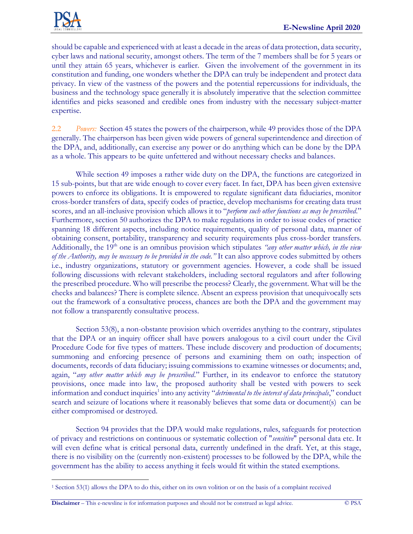

should be capable and experienced with at least a decade in the areas of data protection, data security, cyber laws and national security, amongst others. The term of the 7 members shall be for 5 years or until they attain 65 years, whichever is earlier. Given the involvement of the government in its constitution and funding, one wonders whether the DPA can truly be independent and protect data privacy. In view of the vastness of the powers and the potential repercussions for individuals, the business and the technology space generally it is absolutely imperative that the selection committee identifies and picks seasoned and credible ones from industry with the necessary subject-matter expertise.

2.2 *Powers:* Section 45 states the powers of the chairperson, while 49 provides those of the DPA generally. The chairperson has been given wide powers of general superintendence and direction of the DPA, and, additionally, can exercise any power or do anything which can be done by the DPA as a whole. This appears to be quite unfettered and without necessary checks and balances.

While section 49 imposes a rather wide duty on the DPA, the functions are categorized in 15 sub-points, but that are wide enough to cover every facet. In fact, DPA has been given extensive powers to enforce its obligations. It is empowered to regulate significant data fiduciaries, monitor cross-border transfers of data, specify codes of practice, develop mechanisms for creating data trust scores, and an all-inclusive provision which allows it to "*perform such other functions as may be prescribed*." Furthermore, section 50 authorizes the DPA to make regulations in order to issue codes of practice spanning 18 different aspects, including notice requirements, quality of personal data, manner of obtaining consent, portability, transparency and security requirements plus cross-border transfers. Additionally, the 19<sup>th</sup> one is an omnibus provision which stipulates *"any other matter which, in the view of the Authority, may be necessary to be provided in the code."* It can also approve codes submitted by others i.e., industry organizations, statutory or government agencies. However, a code shall be issued following discussions with relevant stakeholders, including sectoral regulators and after following the prescribed procedure. Who will prescribe the process? Clearly, the government. What will be the checks and balances? There is complete silence. Absent an express provision that unequivocally sets out the framework of a consultative process, chances are both the DPA and the government may not follow a transparently consultative process.

Section 53(8), a non-obstante provision which overrides anything to the contrary, stipulates that the DPA or an inquiry officer shall have powers analogous to a civil court under the Civil Procedure Code for five types of matters. These include discovery and production of documents; summoning and enforcing presence of persons and examining them on oath; inspection of documents, records of data fiduciary; issuing commissions to examine witnesses or documents; and, again, "*any other matter which may be prescribed*." Further, in its endeavor to enforce the statutory provisions, once made into law, the proposed authority shall be vested with powers to seek information and conduct inquiries<sup>1</sup> into any activity "*detrimental to the interest of data principals*," conduct search and seizure of locations where it reasonably believes that some data or document(s) can be either compromised or destroyed.

Section 94 provides that the DPA would make regulations, rules, safeguards for protection of privacy and restrictions on continuous or systematic collection of "*sensitive*" personal data etc. It will even define what is critical personal data, currently undefined in the draft. Yet, at this stage, there is no visibility on the (currently non-existent) processes to be followed by the DPA, while the government has the ability to access anything it feels would fit within the stated exemptions.

**Disclaimer** – This e-newsline is for information purposes and should not be construed as legal advice. © PSA

<sup>1</sup> Section 53(1) allows the DPA to do this, either on its own volition or on the basis of a complaint received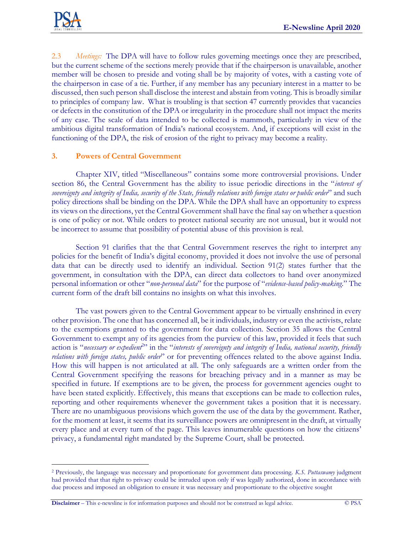

2.3 *Meetings:* The DPA will have to follow rules governing meetings once they are prescribed, but the current scheme of the sections merely provide that if the chairperson is unavailable, another member will be chosen to preside and voting shall be by majority of votes, with a casting vote of the chairperson in case of a tie. Further, if any member has any pecuniary interest in a matter to be discussed, then such person shall disclose the interest and abstain from voting. This is broadly similar to principles of company law. What is troubling is that section 47 currently provides that vacancies or defects in the constitution of the DPA or irregularity in the procedure shall not impact the merits of any case. The scale of data intended to be collected is mammoth, particularly in view of the ambitious digital transformation of India's national ecosystem. And, if exceptions will exist in the functioning of the DPA, the risk of erosion of the right to privacy may become a reality.

# **3. Powers of Central Government**

Chapter XIV, titled "Miscellaneous" contains some more controversial provisions. Under section 86, the Central Government has the ability to issue periodic directions in the "*interest of sovereignty and integrity of India, security of the State, friendly relations with foreign states or public order*" and such policy directions shall be binding on the DPA. While the DPA shall have an opportunity to express its views on the directions, yet the Central Government shall have the final say on whether a question is one of policy or not. While orders to protect national security are not unusual, but it would not be incorrect to assume that possibility of potential abuse of this provision is real.

Section 91 clarifies that the that Central Government reserves the right to interpret any policies for the benefit of India's digital economy, provided it does not involve the use of personal data that can be directly used to identify an individual. Section 91(2) states further that the government, in consultation with the DPA, can direct data collectors to hand over anonymized personal information or other "*non-personal data*" for the purpose of "*evidence-based policy-making*." The current form of the draft bill contains no insights on what this involves.

The vast powers given to the Central Government appear to be virtually enshrined in every other provision. The one that has concerned all, be it individuals, industry or even the activists, relate to the exemptions granted to the government for data collection. Section 35 allows the Central Government to exempt any of its agencies from the purview of this law, provided it feels that such action is "necessary or expedient<sup>2</sup>" in the "interests of sovereignty and integrity of India, national security, friendly *relations with foreign states, public order*" or for preventing offences related to the above against India. How this will happen is not articulated at all. The only safeguards are a written order from the Central Government specifying the reasons for breaching privacy and in a manner as may be specified in future. If exemptions are to be given, the process for government agencies ought to have been stated explicitly. Effectively, this means that exceptions can be made to collection rules, reporting and other requirements whenever the government takes a position that it is necessary. There are no unambiguous provisions which govern the use of the data by the government. Rather, for the moment at least, it seems that its surveillance powers are omnipresent in the draft, at virtually every place and at every turn of the page. This leaves innumerable questions on how the citizens' privacy, a fundamental right mandated by the Supreme Court, shall be protected.

<sup>2</sup> Previously, the language was necessary and proportionate for government data processing. *K.S. Puttaswamy* judgment had provided that that right to privacy could be intruded upon only if was legally authorized, done in accordance with due process and imposed an obligation to ensure it was necessary and proportionate to the objective sought